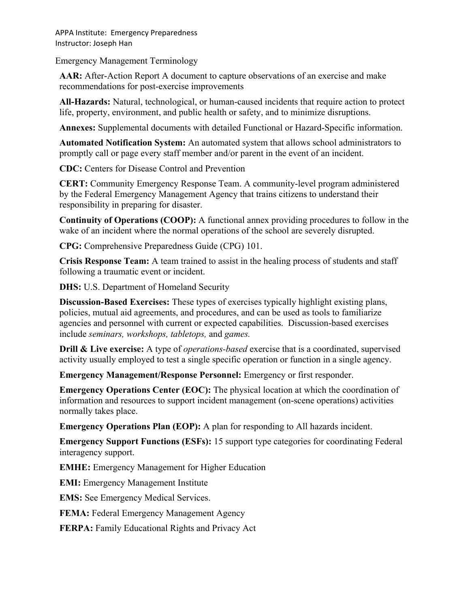APPA Institute: Emergency Preparedness Instructor: Joseph Han

Emergency Management Terminology

**AAR:** After-Action Report A document to capture observations of an exercise and make recommendations for post-exercise improvements

**All-Hazards:** Natural, technological, or human-caused incidents that require action to protect life, property, environment, and public health or safety, and to minimize disruptions.

**Annexes:** Supplemental documents with detailed Functional or Hazard-Specific information.

**Automated Notification System:** An automated system that allows school administrators to promptly call or page every staff member and/or parent in the event of an incident.

**CDC:** Centers for Disease Control and Prevention

**CERT:** Community Emergency Response Team. A community-level program administered by the Federal Emergency Management Agency that trains citizens to understand their responsibility in preparing for disaster.

**Continuity of Operations (COOP):** A functional annex providing procedures to follow in the wake of an incident where the normal operations of the school are severely disrupted.

**CPG:** Comprehensive Preparedness Guide (CPG) 101.

**Crisis Response Team:** A team trained to assist in the healing process of students and staff following a traumatic event or incident.

**DHS:** U.S. Department of Homeland Security

**Discussion-Based Exercises:** These types of exercises typically highlight existing plans, policies, mutual aid agreements, and procedures, and can be used as tools to familiarize agencies and personnel with current or expected capabilities. Discussion-based exercises include *seminars, workshops, tabletops,* and *games.*

**Drill & Live exercise:** A type of *operations-based* exercise that is a coordinated, supervised activity usually employed to test a single specific operation or function in a single agency.

**Emergency Management/Response Personnel:** Emergency or first responder.

**Emergency Operations Center (EOC):** The physical location at which the coordination of information and resources to support incident management (on-scene operations) activities normally takes place.

**Emergency Operations Plan (EOP):** A plan for responding to All hazards incident.

**Emergency Support Functions (ESFs):** 15 support type categories for coordinating Federal interagency support.

**EMHE:** Emergency Management for Higher Education

**EMI:** Emergency Management Institute

**EMS:** See Emergency Medical Services.

**FEMA:** Federal Emergency Management Agency

**FERPA:** Family Educational Rights and Privacy Act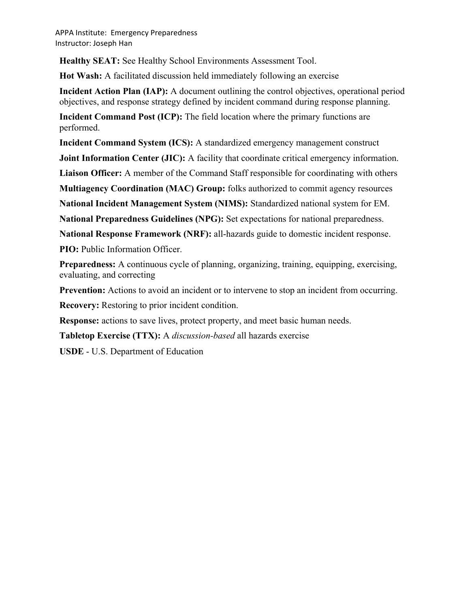APPA Institute: Emergency Preparedness Instructor: Joseph Han

**Healthy SEAT:** See Healthy School Environments Assessment Tool.

**Hot Wash:** A facilitated discussion held immediately following an exercise

**Incident Action Plan (IAP):** A document outlining the control objectives, operational period objectives, and response strategy defined by incident command during response planning.

**Incident Command Post (ICP):** The field location where the primary functions are performed.

**Incident Command System (ICS):** A standardized emergency management construct

**Joint Information Center (JIC):** A facility that coordinate critical emergency information.

**Liaison Officer:** A member of the Command Staff responsible for coordinating with others

**Multiagency Coordination (MAC) Group:** folks authorized to commit agency resources

**National Incident Management System (NIMS):** Standardized national system for EM.

**National Preparedness Guidelines (NPG):** Set expectations for national preparedness.

**National Response Framework (NRF):** all-hazards guide to domestic incident response.

**PIO:** Public Information Officer.

**Preparedness:** A continuous cycle of planning, organizing, training, equipping, exercising, evaluating, and correcting

**Prevention:** Actions to avoid an incident or to intervene to stop an incident from occurring.

**Recovery:** Restoring to prior incident condition.

**Response:** actions to save lives, protect property, and meet basic human needs.

**Tabletop Exercise (TTX):** A *discussion-based* all hazards exercise

**USDE** - U.S. Department of Education